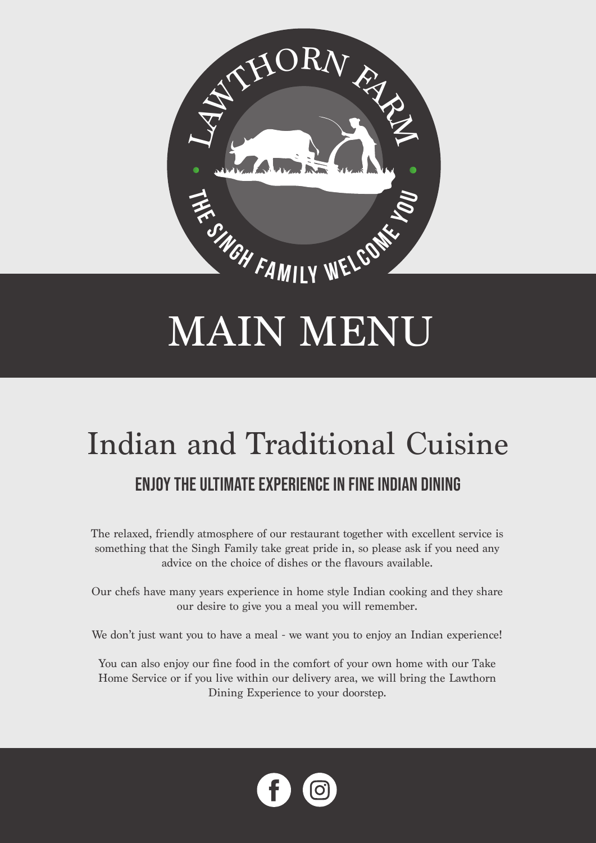

## MAIN MENU

# Indian and Traditional Cuisine

### Enjoy the ultimate experience in fine Indian Dining

The relaxed, friendly atmosphere of our restaurant together with excellent service is something that the Singh Family take great pride in, so please ask if you need any advice on the choice of dishes or the flavours available.

Our chefs have many years experience in home style Indian cooking and they share our desire to give you a meal you will remember.

We don't just want you to have a meal - we want you to enjoy an Indian experience!

You can also enjoy our fine food in the comfort of your own home with our Take Home Service or if you live within our delivery area, we will bring the Lawthorn Dining Experience to your doorstep.

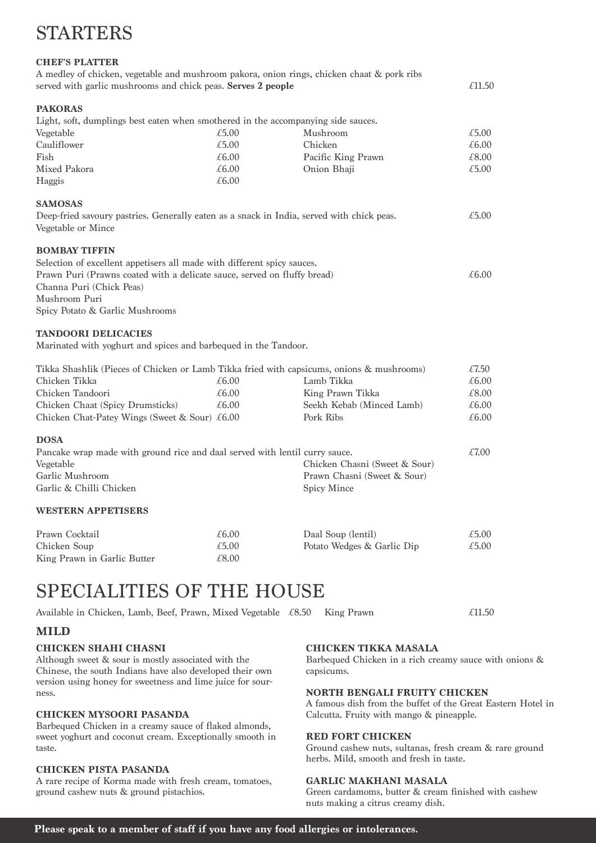## STARTERS

#### **CHEF'S PLATTER**

| A medley of chicken, vegetable and mushroom pakora, onion rings, chicken chaat & pork ribs |        |
|--------------------------------------------------------------------------------------------|--------|
| served with garlic mushrooms and chick peas. <b>Serves 2 people</b>                        | £11.50 |
|                                                                                            |        |

#### **PAKORAS**

| Light, soft, dumplings best eaten when smothered in the accompanying side sauces. |       |                    |       |
|-----------------------------------------------------------------------------------|-------|--------------------|-------|
| Vegetable                                                                         | £5.00 | Mushroom           | £5.00 |
| Cauliflower                                                                       | £5.00 | Chicken            | £6.00 |
| Fish                                                                              | £6.00 | Pacific King Prawn | £8.00 |
| Mixed Pakora                                                                      | £6.00 | Onion Bhaji        | £5.00 |
| Haggis                                                                            | £6.00 |                    |       |

#### **SAMOSAS**

Deep-fried savoury pastries. Generally eaten as a snack in India, served with chick peas.  $\epsilon$ 5.00 Vegetable or Mince

#### **BOMBAY TIFFIN**

| Selection of excellent appetisers all made with different spicy sauces.  |       |
|--------------------------------------------------------------------------|-------|
| Prawn Puri (Prawns coated with a delicate sauce, served on fluffy bread) | £6.00 |
| Channa Puri (Chick Peas)                                                 |       |
| Mushroom Puri                                                            |       |
| Spicy Potato & Garlic Mushrooms                                          |       |

#### **TANDOORI DELICACIES**

Marinated with yoghurt and spices and barbequed in the Tandoor.

| Tikka Shashlik (Pieces of Chicken or Lamb Tikka fried with capsicums, onions & mushrooms) |       |                           | £7.50 |
|-------------------------------------------------------------------------------------------|-------|---------------------------|-------|
| Chicken Tikka                                                                             | £6.00 | Lamb Tikka                | £6.00 |
| Chicken Tandoori                                                                          | £6.00 | King Prawn Tikka          | £8.00 |
| Chicken Chaat (Spicy Drumsticks)                                                          | £6.00 | Seekh Kebab (Minced Lamb) | £6.00 |
| Chicken Chat-Patey Wings (Sweet & Sour) $\text{\pounds}6.00$                              |       | Pork Ribs                 | £6.00 |
|                                                                                           |       |                           |       |

#### **DOSA**

| Pancake wrap made with ground rice and daal served with lentil curry sauce. |                               | £7.00 |
|-----------------------------------------------------------------------------|-------------------------------|-------|
| Vegetable                                                                   | Chicken Chasni (Sweet & Sour) |       |
| Garlic Mushroom                                                             | Prawn Chasni (Sweet & Sour)   |       |
| Garlic & Chilli Chicken                                                     | Spicy Mince                   |       |
|                                                                             |                               |       |

#### **WESTERN APPETISERS**

| Prawn Cocktail              | £6.00 | Daal Soup (lentil)         | £5.00 |
|-----------------------------|-------|----------------------------|-------|
| Chicken Soup                | £5.00 | Potato Wedges & Garlic Dip | £5.00 |
| King Prawn in Garlic Butter | €8.00 |                            |       |

## SPECIALITIES OF THE HOUSE

Available in Chicken, Lamb, Beef, Prawn, Mixed Vegetable  $\text{\pounds}8.50$  King Prawn  $\text{\pounds}11.50$ 

#### **MILD**

#### **CHICKEN SHAHI CHASNI**

Although sweet & sour is mostly associated with the Chinese, the south Indians have also developed their own version using honey for sweetness and lime juice for sourness.

#### **CHICKEN MYSOORI PASANDA**

Barbequed Chicken in a creamy sauce of flaked almonds, sweet yoghurt and coconut cream. Exceptionally smooth in taste.

#### **CHICKEN PISTA PASANDA**

A rare recipe of Korma made with fresh cream, tomatoes, ground cashew nuts & ground pistachios.

#### **CHICKEN TIKKA MASALA**

Barbequed Chicken in a rich creamy sauce with onions & capsicums.

#### **NORTH BENGALI FRUITY CHICKEN**

A famous dish from the buffet of the Great Eastern Hotel in Calcutta. Fruity with mango & pineapple.

#### **RED FORT CHICKEN**

Ground cashew nuts, sultanas, fresh cream & rare ground herbs. Mild, smooth and fresh in taste.

#### **GARLIC MAKHANI MASALA**

Green cardamoms, butter & cream finished with cashew nuts making a citrus creamy dish.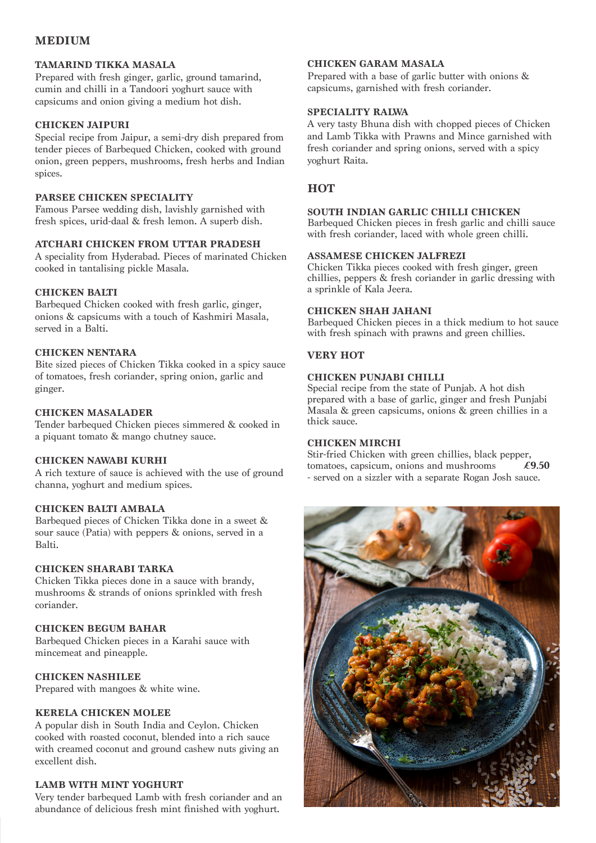#### **MEDIUM**

#### **TAMARIND TIKKA MASALA**

Prepared with fresh ginger, garlic, ground tamarind, cumin and chilli in a Tandoori yoghurt sauce with capsicums and onion giving a medium hot dish.

#### **CHICKEN JAIPURI**

Special recipe from Jaipur, a semi-dry dish prepared from tender pieces of Barbequed Chicken, cooked with ground onion, green peppers, mushrooms, fresh herbs and Indian spices.

#### **PARSEE CHICKEN SPECIALITY**

Famous Parsee wedding dish, lavishly garnished with fresh spices, urid-daal & fresh lemon. A superb dish.

#### **ATCHARI CHICKEN FROM UTTAR PRADESH**

A speciality from Hyderabad. Pieces of marinated Chicken cooked in tantalising pickle Masala.

#### **CHICKEN BALTI**

Barbequed Chicken cooked with fresh garlic, ginger, onions & capsicums with a touch of Kashmiri Masala, served in a Balti.

#### **CHICKEN NENTARA**

Bite sized pieces of Chicken Tikka cooked in a spicy sauce of tomatoes, fresh coriander, spring onion, garlic and ginger.

#### **CHICKEN MASALADER**

Tender barbequed Chicken pieces simmered & cooked in a piquant tomato & mango chutney sauce.

#### **CHICKEN NAWABI KURHI**

A rich texture of sauce is achieved with the use of ground channa, yoghurt and medium spices.

#### **CHICKEN BALTI AMBALA**

Barbequed pieces of Chicken Tikka done in a sweet & sour sauce (Patia) with peppers & onions, served in a Balti.

#### **CHICKEN SHARABI TARKA**

Chicken Tikka pieces done in a sauce with brandy, mushrooms & strands of onions sprinkled with fresh coriander.

#### **CHICKEN BEGUM BAHAR**

Barbequed Chicken pieces in a Karahi sauce with mincemeat and pineapple.

#### **CHICKEN NASHILEE**

Prepared with mangoes & white wine.

#### **KERELA CHICKEN MOLEE**

A popular dish in South India and Ceylon. Chicken cooked with roasted coconut, blended into a rich sauce with creamed coconut and ground cashew nuts giving an excellent dish.

#### **LAMB WITH MINT YOGHURT**

Very tender barbequed Lamb with fresh coriander and an abundance of delicious fresh mint finished with yoghurt.

#### **CHICKEN GARAM MASALA**

Prepared with a base of garlic butter with onions & capsicums, garnished with fresh coriander.

#### **SPECIALITY RALWA**

A very tasty Bhuna dish with chopped pieces of Chicken and Lamb Tikka with Prawns and Mince garnished with fresh coriander and spring onions, served with a spicy yoghurt Raita.

#### **HOT**

#### **SOUTH INDIAN GARLIC CHILLI CHICKEN**

Barbequed Chicken pieces in fresh garlic and chilli sauce with fresh coriander, laced with whole green chilli.

#### **ASSAMESE CHICKEN JALFREZI**

Chicken Tikka pieces cooked with fresh ginger, green chillies, peppers & fresh coriander in garlic dressing with a sprinkle of Kala Jeera.

#### **CHICKEN SHAH JAHANI**

Barbequed Chicken pieces in a thick medium to hot sauce with fresh spinach with prawns and green chillies.

#### **VERY HOT**

#### **CHICKEN PUNJABI CHILLI**

Special recipe from the state of Punjab. A hot dish prepared with a base of garlic, ginger and fresh Punjabi Masala & green capsicums, onions & green chillies in a thick sauce.

#### **CHICKEN MIRCHI**

Stir-fried Chicken with green chillies, black pepper,<br>tomatoes, capsicum, onions and mushrooms  $\angle 9.50$ tomatoes, capsicum, onions and mushrooms - served on a sizzler with a separate Rogan Josh sauce.

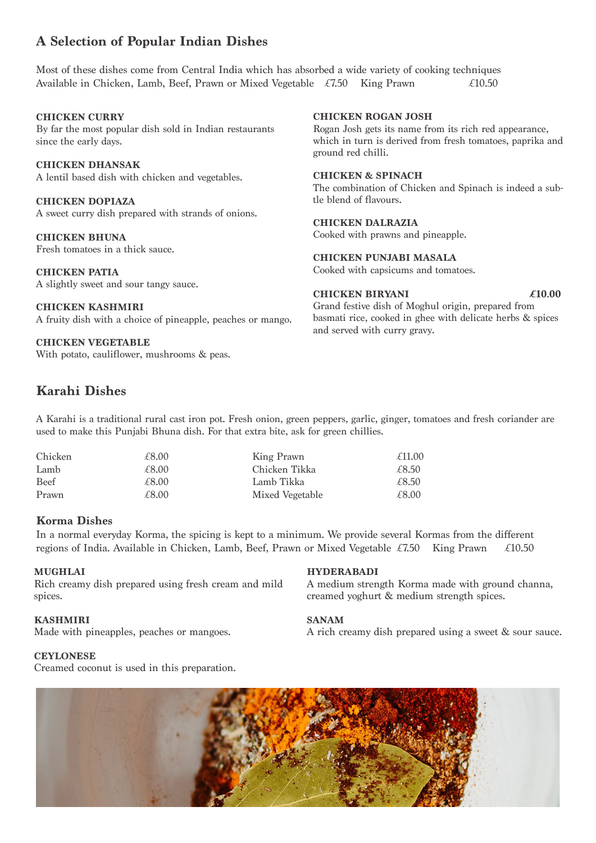#### **A Selection of Popular Indian Dishes**

Most of these dishes come from Central India which has absorbed a wide variety of cooking techniques Available in Chicken, Lamb, Beef, Prawn or Mixed Vegetable  $\angle 7.50$  King Prawn  $\angle 10.50$ 

#### **CHICKEN CURRY**

By far the most popular dish sold in Indian restaurants since the early days.

#### **CHICKEN DHANSAK**

A lentil based dish with chicken and vegetables.

**CHICKEN DOPIAZA** A sweet curry dish prepared with strands of onions.

**CHICKEN BHUNA** Fresh tomatoes in a thick sauce.

**CHICKEN PATIA** A slightly sweet and sour tangy sauce.

**CHICKEN KASHMIRI** A fruity dish with a choice of pineapple, peaches or mango.

**CHICKEN VEGETABLE** With potato, cauliflower, mushrooms & peas.

#### **Karahi Dishes**

A Karahi is a traditional rural cast iron pot. Fresh onion, green peppers, garlic, ginger, tomatoes and fresh coriander are used to make this Punjabi Bhuna dish. For that extra bite, ask for green chillies.

| Chicken     | £8.00 | King Prawn      | £11.00 |
|-------------|-------|-----------------|--------|
| Lamb        | £8.00 | Chicken Tikka   | £8.50  |
| <b>Beef</b> | £8.00 | Lamb Tikka      | £8.50  |
| Prawn       | £8.00 | Mixed Vegetable | £8.00  |

#### **Korma Dishes**

In a normal everyday Korma, the spicing is kept to a minimum. We provide several Kormas from the different regions of India. Available in Chicken, Lamb, Beef, Prawn or Mixed Vegetable £7.50 King Prawn £10.50

#### **MUGHLAI**

Rich creamy dish prepared using fresh cream and mild spices.

#### **KASHMIRI**

Made with pineapples, peaches or mangoes.

#### **CEYLONESE**

Creamed coconut is used in this preparation.

#### **CHICKEN ROGAN JOSH**

Rogan Josh gets its name from its rich red appearance, which in turn is derived from fresh tomatoes, paprika and ground red chilli.

#### **CHICKEN & SPINACH**

The combination of Chicken and Spinach is indeed a subtle blend of flavours.

#### **CHICKEN DALRAZIA**

Cooked with prawns and pineapple.

**CHICKEN PUNJABI MASALA**

Cooked with capsicums and tomatoes.

#### **CHICKEN BIRYANI £10.00**

Grand festive dish of Moghul origin, prepared from basmati rice, cooked in ghee with delicate herbs & spices and served with curry gravy.

#### **HYDERABADI**

A medium strength Korma made with ground channa, creamed yoghurt & medium strength spices.

#### **SANAM**

A rich creamy dish prepared using a sweet & sour sauce.

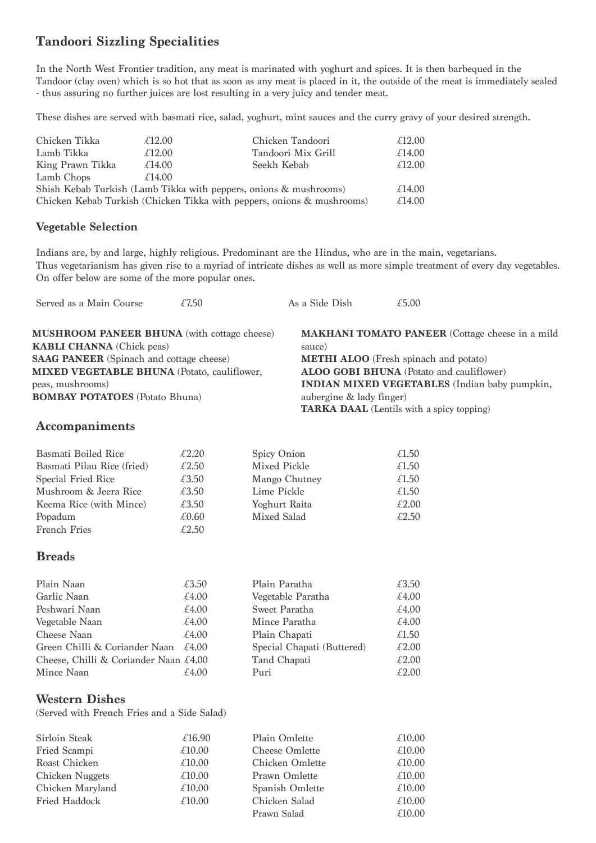#### **Tandoori Sizzling Specialities**

In the North West Frontier tradition, any meat is marinated with yoghurt and spices. It is then barbequed in the Tandoor (clay oven) which is so hot that as soon as any meat is placed in it, the outside of the meat is immediately sealed - thus assuring no further juices are lost resulting in a very juicy and tender meat.

These dishes are served with basmati rice, salad, yoghurt, mint sauces and the curry gravy of your desired strength.

| £12.00 | Chicken Tandoori   | £12.00                                                                                                                                      |
|--------|--------------------|---------------------------------------------------------------------------------------------------------------------------------------------|
| £12.00 | Tandoori Mix Grill | £14.00                                                                                                                                      |
| £14.00 | Seekh Kebab        | £12.00                                                                                                                                      |
| £14.00 |                    |                                                                                                                                             |
|        |                    | £14.00                                                                                                                                      |
|        |                    | £14.00                                                                                                                                      |
|        |                    | Shish Kebab Turkish (Lamb Tikka with peppers, onions & mushrooms)<br>Chicken Kebab Turkish (Chicken Tikka with peppers, onions & mushrooms) |

#### **Vegetable Selection**

Indians are, by and large, highly religious. Predominant are the Hindus, who are in the main, vegetarians. Thus vegetarianism has given rise to a myriad of intricate dishes as well as more simple treatment of every day vegetables. On offer below are some of the more popular ones.

| Served as a Main Course                            | £7.50 | As a Side Dish           | £5.00                                                  |
|----------------------------------------------------|-------|--------------------------|--------------------------------------------------------|
| <b>MUSHROOM PANEER BHUNA</b> (with cottage cheese) |       |                          | <b>MAKHANI TOMATO PANEER</b> (Cottage cheese in a mild |
| <b>KABLI CHANNA</b> (Chick peas)                   |       | sauce)                   |                                                        |
| <b>SAAG PANEER</b> (Spinach and cottage cheese)    |       |                          | <b>METHI ALOO</b> (Fresh spinach and potato)           |
| <b>MIXED VEGETABLE BHUNA</b> (Potato, cauliflower, |       |                          | <b>ALOO GOBI BHUNA</b> (Potato and cauliflower)        |
| peas, mushrooms)                                   |       |                          | <b>INDIAN MIXED VEGETABLES</b> (Indian baby pumpkin,   |
| <b>BOMBAY POTATOES</b> (Potato Bhuna)              |       | aubergine & lady finger) |                                                        |
|                                                    |       |                          | <b>TARKA DAAL</b> (Lentils with a spicy topping)       |
|                                                    |       |                          |                                                        |

#### **Accompaniments**

| Basmati Boiled Rice        | £2.20 | Spicy Onion   | £1.50 |
|----------------------------|-------|---------------|-------|
| Basmati Pilau Rice (fried) | £2.50 | Mixed Pickle  | £1.50 |
| Special Fried Rice         | £3.50 | Mango Chutney | £1.50 |
| Mushroom & Jeera Rice      | £3.50 | Lime Pickle   | £1.50 |
| Keema Rice (with Mince)    | £3.50 | Yoghurt Raita | £2.00 |
| Popadum                    | £0.60 | Mixed Salad   | £2.50 |
| <b>French Fries</b>        | £2.50 |               |       |

#### **Breads**

| Plain Naan                                           | £3.50 | Plain Paratha              | £3.50 |
|------------------------------------------------------|-------|----------------------------|-------|
| Garlic Naan                                          | £4.00 | Vegetable Paratha          | £4.00 |
| Peshwari Naan                                        | £4.00 | Sweet Paratha              | £4.00 |
| Vegetable Naan                                       | £4.00 | Mince Paratha              | £4.00 |
| Cheese Naan                                          | £4.00 | Plain Chapati              | £1.50 |
| Green Chilli & Coriander Naan $\epsilon$ 4.00        |       | Special Chapati (Buttered) | £2.00 |
| Cheese, Chilli & Coriander Naan $\text{\pounds}4.00$ |       | Tand Chapati               | £2.00 |
| Mince Naan                                           | £4.00 | Puri                       | £2.00 |

#### **Western Dishes**

(Served with French Fries and a Side Salad)

| Sirloin Steak    | £16.90 | Plain Omlette         | £10.00 |
|------------------|--------|-----------------------|--------|
| Fried Scampi     | £10.00 | <b>Cheese Omlette</b> | £10.00 |
| Roast Chicken    | £10.00 | Chicken Omlette       | £10.00 |
| Chicken Nuggets  | £10.00 | Prawn Omlette         | £10.00 |
| Chicken Maryland | £10.00 | Spanish Omlette       | £10.00 |
| Fried Haddock    | £10.00 | Chicken Salad         | £10.00 |
|                  |        | Prawn Salad           | £10.00 |